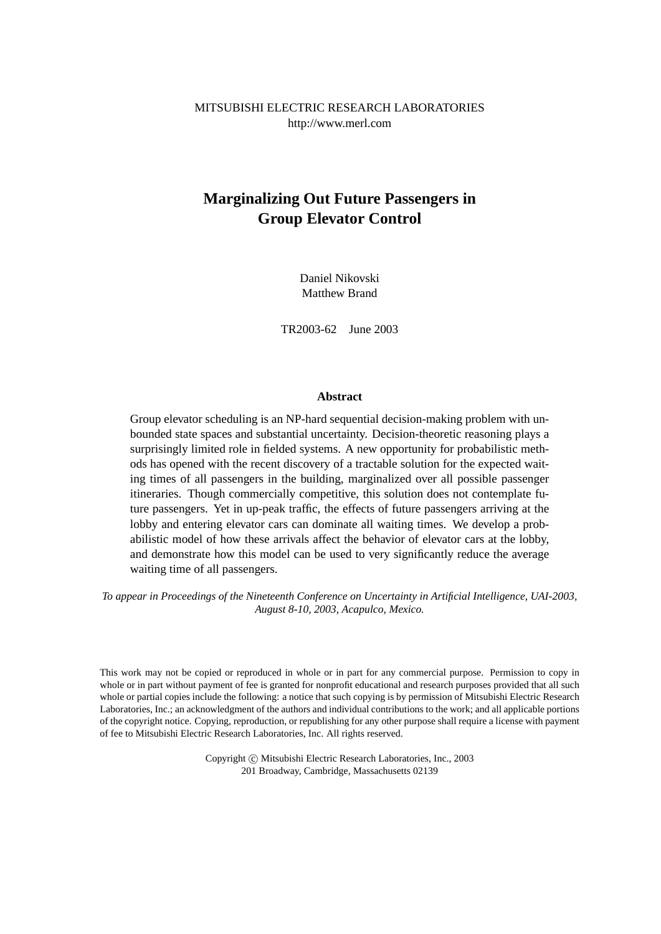MITSUBISHI ELECTRIC RESEARCH LABORATORIES http://www.merl.com

# **Marginalizing Out Future Passengers in Group Elevator Control**

Daniel Nikovski Matthew Brand

TR2003-62 June 2003

#### **Abstract**

Group elevator scheduling is an NP-hard sequential decision-making problem with unbounded state spaces and substantial uncertainty. Decision-theoretic reasoning plays a surprisingly limited role in fielded systems. A new opportunity for probabilistic methods has opened with the recent discovery of a tractable solution for the expected waiting times of all passengers in the building, marginalized over all possible passenger itineraries. Though commercially competitive, this solution does not contemplate future passengers. Yet in up-peak traffic, the effects of future passengers arriving at the lobby and entering elevator cars can dominate all waiting times. We develop a probabilistic model of how these arrivals affect the behavior of elevator cars at the lobby, and demonstrate how this model can be used to very significantly reduce the average waiting time of all passengers.

*To appear in Proceedings of the Nineteenth Conference on Uncertainty in Artificial Intelligence, UAI-2003, August 8-10, 2003, Acapulco, Mexico.*

This work may not be copied or reproduced in whole or in part for any commercial purpose. Permission to copy in whole or in part without payment of fee is granted for nonprofit educational and research purposes provided that all such whole or partial copies include the following: a notice that such copying is by permission of Mitsubishi Electric Research Laboratories, Inc.; an acknowledgment of the authors and individual contributions to the work; and all applicable portions of the copyright notice. Copying, reproduction, or republishing for any other purpose shall require a license with payment of fee to Mitsubishi Electric Research Laboratories, Inc. All rights reserved.

> Copyright © Mitsubishi Electric Research Laboratories, Inc., 2003 201 Broadway, Cambridge, Massachusetts 02139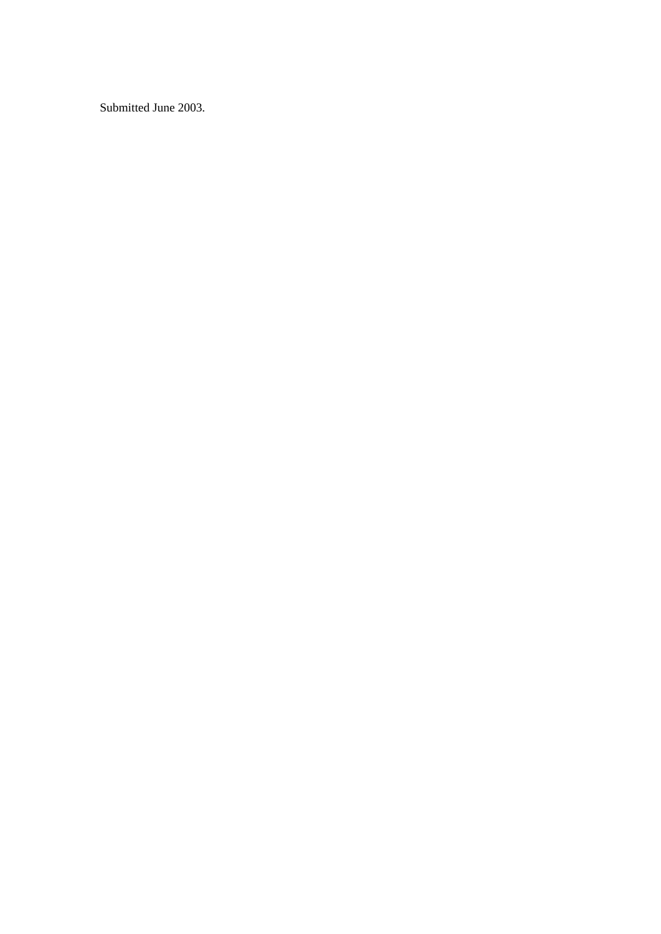Submitted June 2003.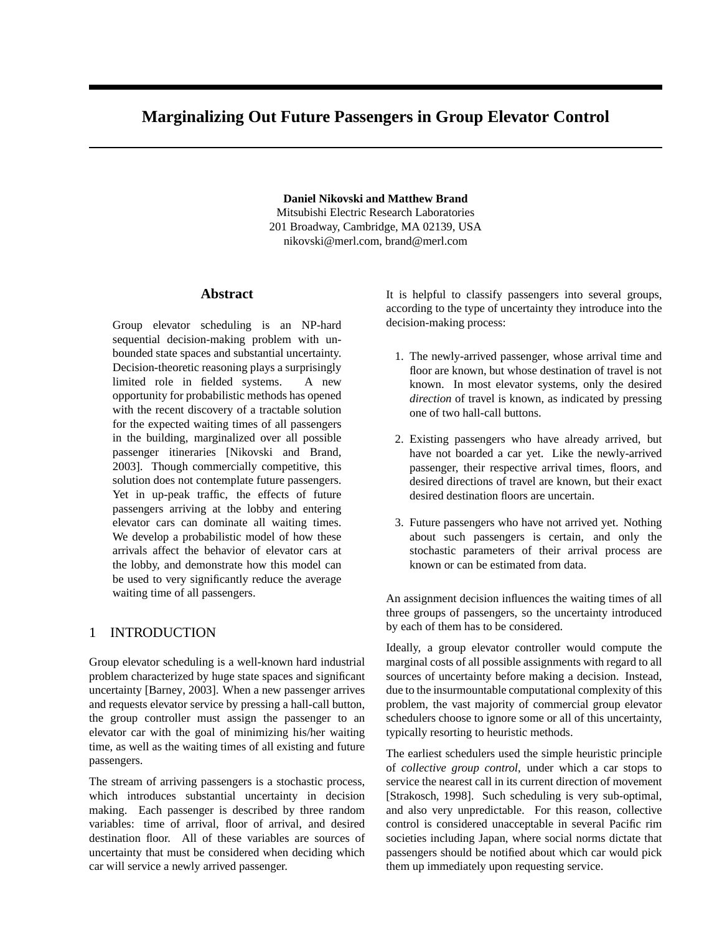## **Marginalizing Out Future Passengers in Group Elevator Control**

**Daniel Nikovski and Matthew Brand** Mitsubishi Electric Research Laboratories 201 Broadway, Cambridge, MA 02139, USA

nikovski@merl.com, brand@merl.com

#### **Abstract**

Group elevator scheduling is an NP-hard sequential decision-making problem with unbounded state spaces and substantial uncertainty. Decision-theoretic reasoning plays a surprisingly limited role in fielded systems. A new opportunity for probabilistic methods has opened with the recent discovery of a tractable solution for the expected waiting times of all passengers in the building, marginalized over all possible passenger itineraries [\[Nikovski and Brand,](#page-9-0) [2003\]](#page-9-0). Though commercially competitive, this solution does not contemplate future passengers. Yet in up-peak traffic, the effects of future passengers arriving at the lobby and entering elevator cars can dominate all waiting times. We develop a probabilistic model of how these arrivals affect the behavior of elevator cars at the lobby, and demonstrate how this model can be used to very significantly reduce the average waiting time of all passengers.

## 1 INTRODUCTION

Group elevator scheduling is a well-known hard industrial problem characterized by huge state spaces and significant uncertainty [\[Barney,](#page-9-0) [2003\]](#page-9-0). When a new passenger arrives and requests elevator service by pressing a hall-call button, the group controller must assign the passenger to an elevator car with the goal of minimizing his/her waiting time, as well as the waiting times of all existing and future passengers.

The stream of arriving passengers is a stochastic process, which introduces substantial uncertainty in decision making. Each passenger is described by three random variables: time of arrival, floor of arrival, and desired destination floor. All of these variables are sources of uncertainty that must be considered when deciding which car will service a newly arrived passenger.

It is helpful to classify passengers into several groups, according to the type of uncertainty they introduce into the decision-making process:

- 1. The newly-arrived passenger, whose arrival time and floor are known, but whose destination of travel is not known. In most elevator systems, only the desired *direction* of travel is known, as indicated by pressing one of two hall-call buttons.
- 2. Existing passengers who have already arrived, but have not boarded a car yet. Like the newly-arrived passenger, their respective arrival times, floors, and desired directions of travel are known, but their exact desired destination floors are uncertain.
- 3. Future passengers who have not arrived yet. Nothing about such passengers is certain, and only the stochastic parameters of their arrival process are known or can be estimated from data.

An assignment decision influences the waiting times of all three groups of passengers, so the uncertainty introduced by each of them has to be considered.

Ideally, a group elevator controller would compute the marginal costs of all possible assignments with regard to all sources of uncertainty before making a decision. Instead, due to the insurmountable computational complexity of this problem, the vast majority of commercial group elevator schedulers choose to ignore some or all of this uncertainty, typically resorting to heuristic methods.

The earliest schedulers used the simple heuristic principle of *collective group control*, under which a car stops to service the nearest call in its current direction of movement [\[Strakosch,](#page-9-0) [1998\]](#page-9-0). Such scheduling is very sub-optimal, and also very unpredictable. For this reason, collective control is considered unacceptable in several Pacific rim societies including Japan, where social norms dictate that passengers should be notified about which car would pick them up immediately upon requesting service.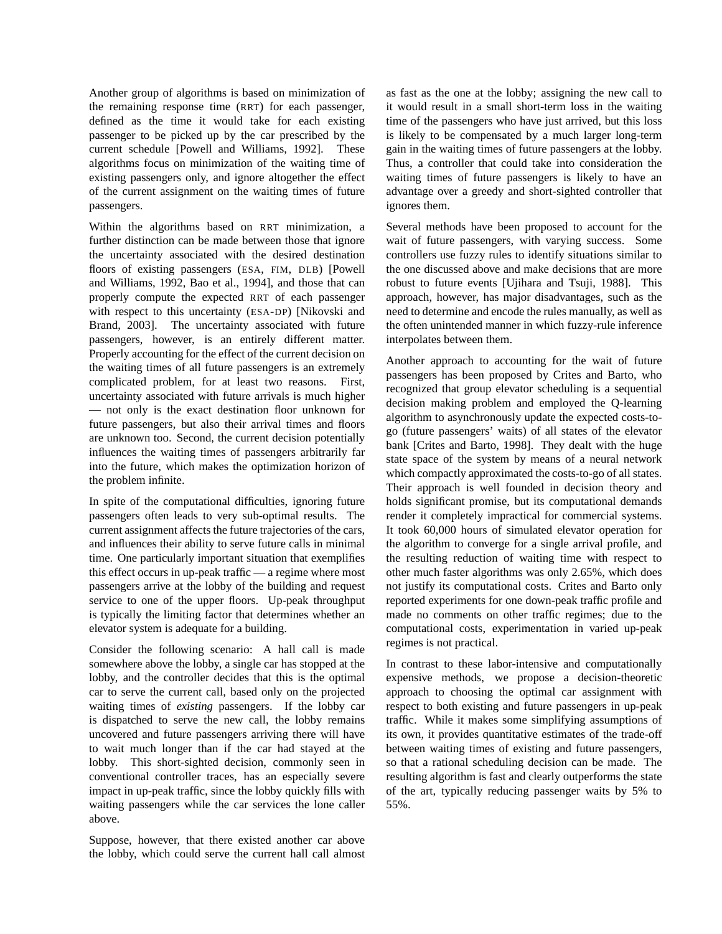Another group of algorithms is based on minimization of the remaining response time (RRT) for each passenger, defined as the time it would take for each existing passenger to be picked up by the car prescribed by the current schedule [\[Powell and Williams,](#page-9-0) [1992\]](#page-9-0). These algorithms focus on minimization of the waiting time of existing passengers only, and ignore altogether the effect of the current assignment on the waiting times of future passengers.

Within the algorithms based on RRT minimization, a further distinction can be made between those that ignore the uncertainty associated with the desired destination floors of existing passengers (ESA, FIM, DLB) [\[Powell](#page-9-0) [and Williams,](#page-9-0) [1992,](#page-9-0) [Bao et al.,](#page-9-0) [1994\]](#page-9-0), and those that can properly compute the expected RRT of each passenger with respect to this uncertainty (ESA-DP) [\[Nikovski and](#page-9-0) [Brand,](#page-9-0) [2003\]](#page-9-0). The uncertainty associated with future passengers, however, is an entirely different matter. Properly accounting for the effect of the current decision on the waiting times of all future passengers is an extremely complicated problem, for at least two reasons. First, uncertainty associated with future arrivals is much higher — not only is the exact destination floor unknown for future passengers, but also their arrival times and floors are unknown too. Second, the current decision potentially influences the waiting times of passengers arbitrarily far into the future, which makes the optimization horizon of the problem infinite.

In spite of the computational difficulties, ignoring future passengers often leads to very sub-optimal results. The current assignment affects the future trajectories of the cars, and influences their ability to serve future calls in minimal time. One particularly important situation that exemplifies this effect occurs in up-peak traffic — a regime where most passengers arrive at the lobby of the building and request service to one of the upper floors. Up-peak throughput is typically the limiting factor that determines whether an elevator system is adequate for a building.

Consider the following scenario: A hall call is made somewhere above the lobby, a single car has stopped at the lobby, and the controller decides that this is the optimal car to serve the current call, based only on the projected waiting times of *existing* passengers. If the lobby car is dispatched to serve the new call, the lobby remains uncovered and future passengers arriving there will have to wait much longer than if the car had stayed at the lobby. This short-sighted decision, commonly seen in conventional controller traces, has an especially severe impact in up-peak traffic, since the lobby quickly fills with waiting passengers while the car services the lone caller above.

Suppose, however, that there existed another car above the lobby, which could serve the current hall call almost as fast as the one at the lobby; assigning the new call to it would result in a small short-term loss in the waiting time of the passengers who have just arrived, but this loss is likely to be compensated by a much larger long-term gain in the waiting times of future passengers at the lobby. Thus, a controller that could take into consideration the waiting times of future passengers is likely to have an advantage over a greedy and short-sighted controller that ignores them.

Several methods have been proposed to account for the wait of future passengers, with varying success. Some controllers use fuzzy rules to identify situations similar to the one discussed above and make decisions that are more robust to future events [\[Ujihara and Tsuji,](#page-9-0) [1988\]](#page-9-0). This approach, however, has major disadvantages, such as the need to determine and encode the rules manually, as well as the often unintended manner in which fuzzy-rule inference interpolates between them.

Another approach to accounting for the wait of future passengers has been proposed by Crites and Barto, who recognized that group elevator scheduling is a sequential decision making problem and employed the Q-learning algorithm to asynchronously update the expected costs-togo (future passengers' waits) of all states of the elevator bank [\[Crites and Barto,](#page-9-0) [1998\]](#page-9-0). They dealt with the huge state space of the system by means of a neural network which compactly approximated the costs-to-go of all states. Their approach is well founded in decision theory and holds significant promise, but its computational demands render it completely impractical for commercial systems. It took 60,000 hours of simulated elevator operation for the algorithm to converge for a single arrival profile, and the resulting reduction of waiting time with respect to other much faster algorithms was only 2.65%, which does not justify its computational costs. Crites and Barto only reported experiments for one down-peak traffic profile and made no comments on other traffic regimes; due to the computational costs, experimentation in varied up-peak regimes is not practical.

In contrast to these labor-intensive and computationally expensive methods, we propose a decision-theoretic approach to choosing the optimal car assignment with respect to both existing and future passengers in up-peak traffic. While it makes some simplifying assumptions of its own, it provides quantitative estimates of the trade-off between waiting times of existing and future passengers, so that a rational scheduling decision can be made. The resulting algorithm is fast and clearly outperforms the state of the art, typically reducing passenger waits by 5% to 55%.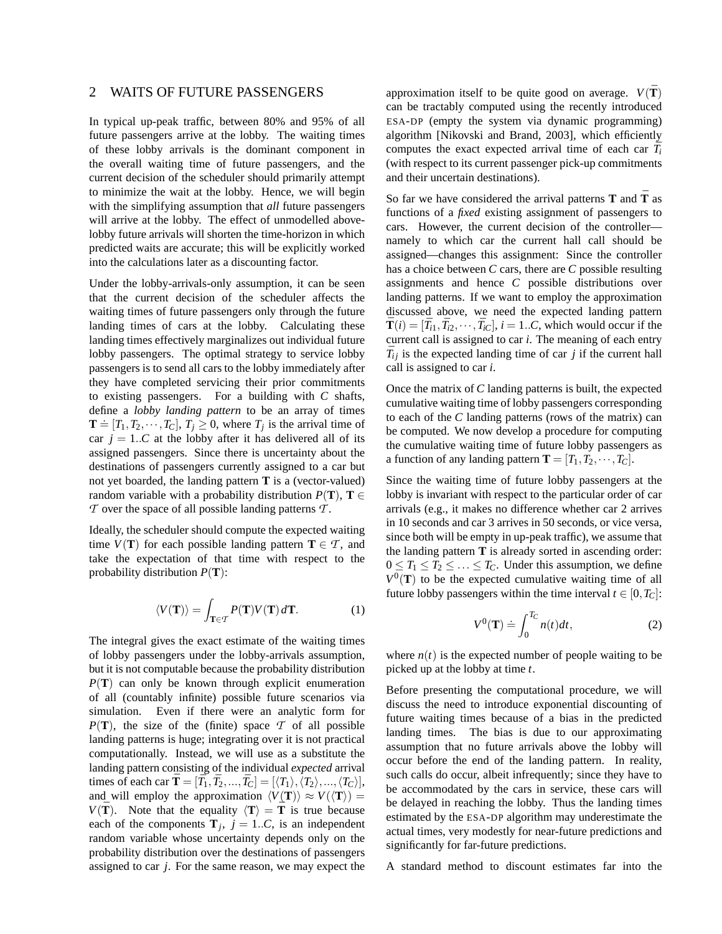## 2 WAITS OF FUTURE PASSENGERS

In typical up-peak traffic, between 80% and 95% of all future passengers arrive at the lobby. The waiting times of these lobby arrivals is the dominant component in the overall waiting time of future passengers, and the current decision of the scheduler should primarily attempt to minimize the wait at the lobby. Hence, we will begin with the simplifying assumption that *all* future passengers will arrive at the lobby. The effect of unmodelled abovelobby future arrivals will shorten the time-horizon in which predicted waits are accurate; this will be explicitly worked into the calculations later as a discounting factor.

Under the lobby-arrivals-only assumption, it can be seen that the current decision of the scheduler affects the waiting times of future passengers only through the future landing times of cars at the lobby. Calculating these landing times effectively marginalizes out individual future lobby passengers. The optimal strategy to service lobby passengers is to send all cars to the lobby immediately after they have completed servicing their prior commitments to existing passengers. For a building with *C* shafts, define a *lobby landing pattern* to be an array of times  $\mathbf{T} \doteq [T_1, T_2, \cdots, T_C], T_j \ge 0$ , where  $T_j$  is the arrival time of car  $j = 1..C$  at the lobby after it has delivered all of its assigned passengers. Since there is uncertainty about the destinations of passengers currently assigned to a car but not yet boarded, the landing pattern **T** is a (vector-valued) random variable with a probability distribution  $P(T)$ ,  $T \in$ *T* over the space of all possible landing patterns *T* .

Ideally, the scheduler should compute the expected waiting time  $V(T)$  for each possible landing pattern  $T \in \mathcal{T}$ , and take the expectation of that time with respect to the probability distribution *P*(**T**):

$$
\langle V(\mathbf{T}) \rangle = \int_{\mathbf{T} \in \mathcal{T}} P(\mathbf{T}) V(\mathbf{T}) \, d\mathbf{T}.
$$
 (1)

The integral gives the exact estimate of the waiting times of lobby passengers under the lobby-arrivals assumption, but it is not computable because the probability distribution *P*(**T**) can only be known through explicit enumeration of all (countably infinite) possible future scenarios via simulation. Even if there were an analytic form for  $P(T)$ , the size of the (finite) space  $T$  of all possible landing patterns is huge; integrating over it is not practical computationally. Instead, we will use as a substitute the landing pattern consisting of the individual *expected* arrival times of each car  $\bar{\mathbf{T}} = [\bar{T}_1, \bar{T}_2, ..., \bar{T}_C] = [\langle T_1 \rangle, \overline{\langle T_2 \rangle}, ..., \langle T_C \rangle],$ and will employ the approximation  $\langle V(\mathbf{T}) \rangle \approx V(\langle \mathbf{T} \rangle) =$ *V*( $\mathbf{\bar{T}}$ ). Note that the equality  $\langle \mathbf{T} \rangle = \mathbf{\bar{T}}$  is true because each of the components  $\mathbf{T}_j$ ,  $j = 1..C$ , is an independent random variable whose uncertainty depends only on the probability distribution over the destinations of passengers assigned to car *j*. For the same reason, we may expect the approximation itself to be quite good on average.  $V(\bar{T})$ can be tractably computed using the recently introduced ESA-DP (empty the system via dynamic programming) algorithm [\[Nikovski and Brand,](#page-9-0) [2003\]](#page-9-0), which efficiently computes the exact expected arrival time of each car  $\bar{T}_i$ (with respect to its current passenger pick-up commitments and their uncertain destinations).

So far we have considered the arrival patterns **T** and **T** as functions of a *fixed* existing assignment of passengers to cars. However, the current decision of the controller namely to which car the current hall call should be assigned—changes this assignment: Since the controller has a choice between *C* cars, there are *C* possible resulting assignments and hence *C* possible distributions over landing patterns. If we want to employ the approximation discussed above, we need the expected landing pattern  $\bar{\mathbf{T}}(i) = [\bar{T}_{i1}, \bar{T}_{i2}, \cdots, \bar{T}_{iC}], i = 1..C$ , which would occur if the current call is assigned to car *i*. The meaning of each entry  $\bar{T}_{ij}$  is the expected landing time of car *j* if the current hall call is assigned to car *i*.

Once the matrix of *C* landing patterns is built, the expected cumulative waiting time of lobby passengers corresponding to each of the *C* landing patterns (rows of the matrix) can be computed. We now develop a procedure for computing the cumulative waiting time of future lobby passengers as a function of any landing pattern  $\mathbf{T} = [T_1, T_2, \cdots, T_C]$ .

Since the waiting time of future lobby passengers at the lobby is invariant with respect to the particular order of car arrivals (e.g., it makes no difference whether car 2 arrives in 10 seconds and car 3 arrives in 50 seconds, or vice versa, since both will be empty in up-peak traffic), we assume that the landing pattern **T** is already sorted in ascending order:  $0 \leq T_1 \leq T_2 \leq \ldots \leq T_C$ . Under this assumption, we define  $V^0$ (T) to be the expected cumulative waiting time of all future lobby passengers within the time interval  $t \in [0, T_C]$ :

$$
V^{0}(\mathbf{T}) \doteq \int_{0}^{T_{C}} n(t)dt, \qquad (2)
$$

where  $n(t)$  is the expected number of people waiting to be picked up at the lobby at time *t*.

Before presenting the computational procedure, we will discuss the need to introduce exponential discounting of future waiting times because of a bias in the predicted landing times. The bias is due to our approximating assumption that no future arrivals above the lobby will occur before the end of the landing pattern. In reality, such calls do occur, albeit infrequently; since they have to be accommodated by the cars in service, these cars will be delayed in reaching the lobby. Thus the landing times estimated by the ESA-DP algorithm may underestimate the actual times, very modestly for near-future predictions and significantly for far-future predictions.

A standard method to discount estimates far into the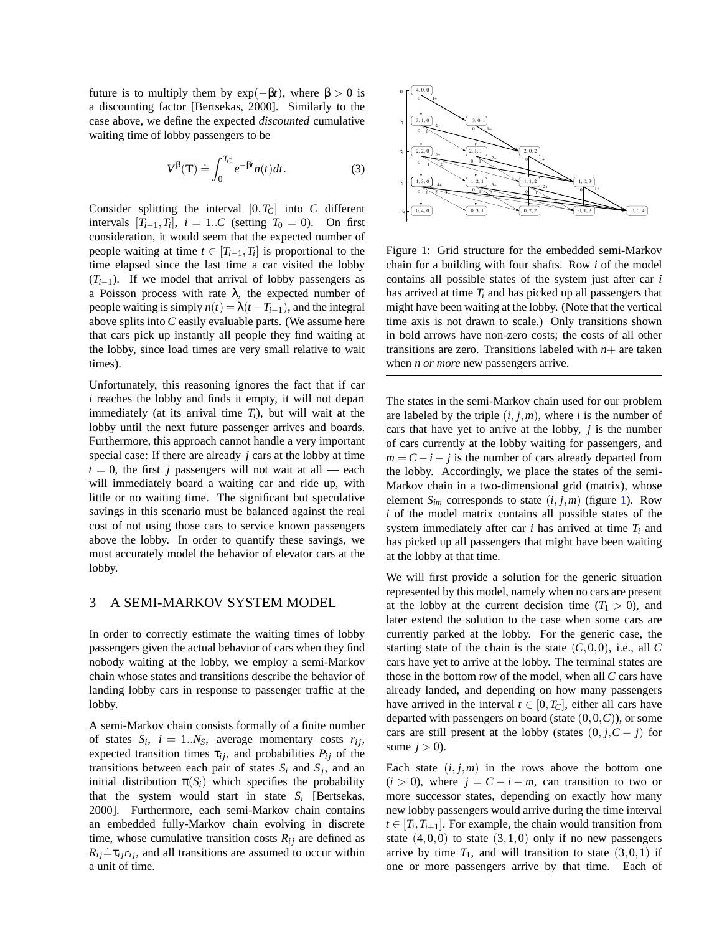<span id="page-5-0"></span>future is to multiply them by  $exp(-\beta t)$ , where  $\beta > 0$  is a discounting factor [\[Bertsekas,](#page-9-0) [2000\]](#page-9-0). Similarly to the case above, we define the expected *discounted* cumulative waiting time of lobby passengers to be

$$
V^{\beta}(\mathbf{T}) \doteq \int_0^{T_C} e^{-\beta t} n(t) dt.
$$
 (3)

Consider splitting the interval  $[0, T_C]$  into *C* different intervals  $[T_{i-1}, T_i]$ ,  $i = 1..C$  (setting  $T_0 = 0$ ). On first consideration, it would seem that the expected number of people waiting at time  $t \in [T_{i-1}, T_i]$  is proportional to the time elapsed since the last time a car visited the lobby  $(T<sub>i-1</sub>)$ . If we model that arrival of lobby passengers as a Poisson process with rate  $\lambda$ , the expected number of people waiting is simply  $n(t) = \lambda(t - T_{i-1})$ , and the integral above splits into *C* easily evaluable parts. (We assume here that cars pick up instantly all people they find waiting at the lobby, since load times are very small relative to wait times).

Unfortunately, this reasoning ignores the fact that if car *i* reaches the lobby and finds it empty, it will not depart immediately (at its arrival time  $T_i$ ), but will wait at the lobby until the next future passenger arrives and boards. Furthermore, this approach cannot handle a very important special case: If there are already *j* cars at the lobby at time  $t = 0$ , the first *j* passengers will not wait at all — each will immediately board a waiting car and ride up, with little or no waiting time. The significant but speculative savings in this scenario must be balanced against the real cost of not using those cars to service known passengers above the lobby. In order to quantify these savings, we must accurately model the behavior of elevator cars at the lobby.

## 3 A SEMI-MARKOV SYSTEM MODEL

In order to correctly estimate the waiting times of lobby passengers given the actual behavior of cars when they find nobody waiting at the lobby, we employ a semi-Markov chain whose states and transitions describe the behavior of landing lobby cars in response to passenger traffic at the lobby.

A semi-Markov chain consists formally of a finite number of states  $S_i$ ,  $i = 1..N_S$ , average momentary costs  $r_{ij}$ , expected transition times  $\tau_{ij}$ , and probabilities  $P_{ij}$  of the transitions between each pair of states  $S_i$  and  $S_j$ , and an initial distribution  $\pi(S_i)$  which specifies the probability that the system would start in state  $S_i$  [\[Bertsekas,](#page-9-0) [2000\]](#page-9-0). Furthermore, each semi-Markov chain contains an embedded fully-Markov chain evolving in discrete time, whose cumulative transition costs  $R_{ij}$  are defined as  $R_{ij} = \tau_{ij} r_{ij}$ , and all transitions are assumed to occur within a unit of time.



Figure 1: Grid structure for the embedded semi-Markov chain for a building with four shafts. Row *i* of the model contains all possible states of the system just after car *i* has arrived at time  $T_i$  and has picked up all passengers that might have been waiting at the lobby. (Note that the vertical time axis is not drawn to scale.) Only transitions shown in bold arrows have non-zero costs; the costs of all other transitions are zero. Transitions labeled with  $n+$  are taken when *n or more* new passengers arrive.

The states in the semi-Markov chain used for our problem are labeled by the triple  $(i, j, m)$ , where *i* is the number of cars that have yet to arrive at the lobby, *j* is the number of cars currently at the lobby waiting for passengers, and  $m = C - i - j$  is the number of cars already departed from the lobby. Accordingly, we place the states of the semi-Markov chain in a two-dimensional grid (matrix), whose element  $S_{im}$  corresponds to state  $(i, j, m)$  (figure 1). Row *i* of the model matrix contains all possible states of the system immediately after car *i* has arrived at time *T<sup>i</sup>* and has picked up all passengers that might have been waiting at the lobby at that time.

We will first provide a solution for the generic situation represented by this model, namely when no cars are present at the lobby at the current decision time  $(T_1 > 0)$ , and later extend the solution to the case when some cars are currently parked at the lobby. For the generic case, the starting state of the chain is the state  $(C,0,0)$ , i.e., all  $C$ cars have yet to arrive at the lobby. The terminal states are those in the bottom row of the model, when all *C* cars have already landed, and depending on how many passengers have arrived in the interval  $t \in [0, T_C]$ , either all cars have departed with passengers on board (state (0,0,*C*)), or some cars are still present at the lobby (states  $(0, j, C - j)$  for some  $j > 0$ ).

Each state  $(i, j, m)$  in the rows above the bottom one  $(i > 0)$ , where  $j = C - i - m$ , can transition to two or more successor states, depending on exactly how many new lobby passengers would arrive during the time interval  $t \in [T_i, T_{i+1}]$ . For example, the chain would transition from state  $(4,0,0)$  to state  $(3,1,0)$  only if no new passengers arrive by time  $T_1$ , and will transition to state  $(3,0,1)$  if one or more passengers arrive by that time. Each of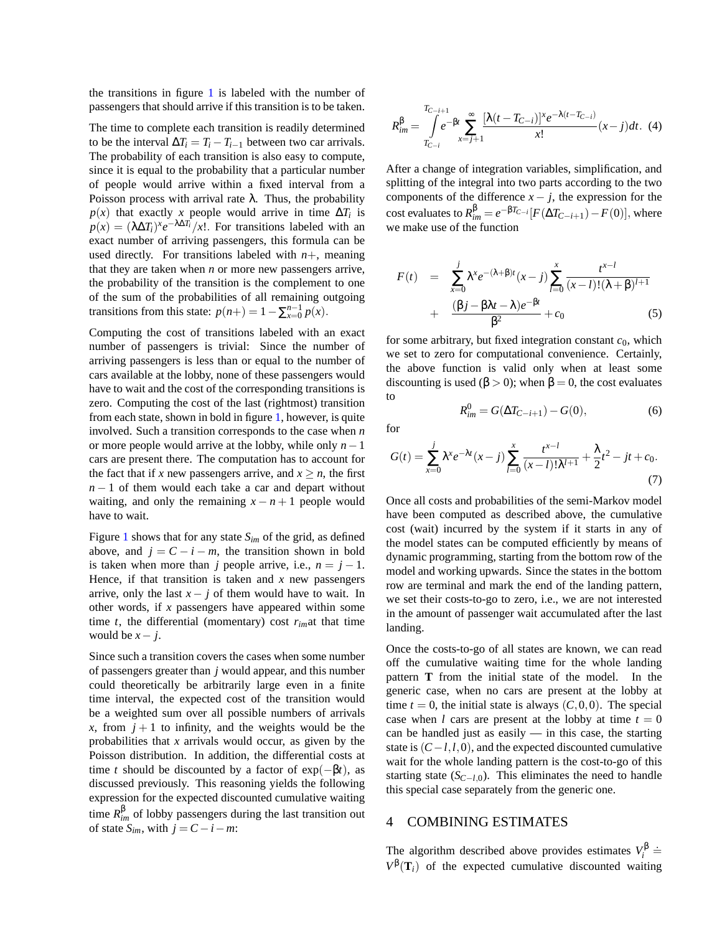the transitions in figure [1](#page-5-0) is labeled with the number of passengers that should arrive if this transition is to be taken.

The time to complete each transition is readily determined to be the interval  $\Delta T_i = T_i - T_{i-1}$  between two car arrivals. The probability of each transition is also easy to compute, since it is equal to the probability that a particular number of people would arrive within a fixed interval from a Poisson process with arrival rate  $\lambda$ . Thus, the probability  $p(x)$  that exactly *x* people would arrive in time  $\Delta T_i$  is  $p(x) = (\lambda \Delta T_i)^x e^{-\lambda \Delta T_i}/x!$ . For transitions labeled with an exact number of arriving passengers, this formula can be used directly. For transitions labeled with  $n+$ , meaning that they are taken when *n* or more new passengers arrive, the probability of the transition is the complement to one of the sum of the probabilities of all remaining outgoing transitions from this state:  $p(n+) = 1 - \sum_{x=0}^{n-1} p(x)$ .

Computing the cost of transitions labeled with an exact number of passengers is trivial: Since the number of arriving passengers is less than or equal to the number of cars available at the lobby, none of these passengers would have to wait and the cost of the corresponding transitions is zero. Computing the cost of the last (rightmost) transition from each state, shown in bold in figure [1,](#page-5-0) however, is quite involved. Such a transition corresponds to the case when *n* or more people would arrive at the lobby, while only *n*−1 cars are present there. The computation has to account for the fact that if *x* new passengers arrive, and  $x \ge n$ , the first *n* − 1 of them would each take a car and depart without waiting, and only the remaining  $x - n + 1$  people would have to wait.

Figure [1](#page-5-0) shows that for any state *Sim* of the grid, as defined above, and  $j = C - i - m$ , the transition shown in bold is taken when more than *j* people arrive, i.e.,  $n = j - 1$ . Hence, if that transition is taken and *x* new passengers arrive, only the last  $x - j$  of them would have to wait. In other words, if *x* passengers have appeared within some time *t*, the differential (momentary) cost *rim*at that time would be  $x - j$ .

Since such a transition covers the cases when some number of passengers greater than *j* would appear, and this number could theoretically be arbitrarily large even in a finite time interval, the expected cost of the transition would be a weighted sum over all possible numbers of arrivals *x*, from  $j + 1$  to infinity, and the weights would be the probabilities that *x* arrivals would occur, as given by the Poisson distribution. In addition, the differential costs at time *t* should be discounted by a factor of  $exp(-\beta t)$ , as discussed previously. This reasoning yields the following expression for the expected discounted cumulative waiting time  $R_{im}^{\beta}$  of lobby passengers during the last transition out of state  $S_{im}$ , with  $j = C - i - m$ .

$$
R_{im}^{\beta} = \int_{T_{C-i}}^{T_{C-i+1}} e^{-\beta t} \sum_{x=j+1}^{\infty} \frac{[\lambda(t - T_{C-i})]^x e^{-\lambda(t - T_{C-i})}}{x!} (x - j) dt.
$$
 (4)

After a change of integration variables, simplification, and splitting of the integral into two parts according to the two components of the difference  $x - j$ , the expression for the  $\text{cost evaluates to } R_{im}^{\beta} = e^{-\beta T_{C-i}} [F(\Delta T_{C-i+1}) - F(0)], \text{where}$ we make use of the function

$$
F(t) = \sum_{x=0}^{j} \lambda^{x} e^{-(\lambda+\beta)t} (x-j) \sum_{l=0}^{x} \frac{t^{x-l}}{(x-l)!(\lambda+\beta)^{l+1}} + \frac{(\beta j - \beta\lambda t - \lambda)e^{-\beta t}}{\beta^{2}} + c_{0}
$$
(5)

for some arbitrary, but fixed integration constant  $c_0$ , which we set to zero for computational convenience. Certainly, the above function is valid only when at least some discounting is used ( $\beta > 0$ ); when  $\beta = 0$ , the cost evaluates to

$$
R_{im}^{0} = G(\Delta T_{C-i+1}) - G(0),
$$
\n(6)

for

$$
G(t) = \sum_{x=0}^{j} \lambda^{x} e^{-\lambda t} (x - j) \sum_{l=0}^{x} \frac{t^{x-l}}{(x-l)! \lambda^{l+1}} + \frac{\lambda}{2} t^{2} - jt + c_{0}.
$$
\n(7)

Once all costs and probabilities of the semi-Markov model have been computed as described above, the cumulative cost (wait) incurred by the system if it starts in any of the model states can be computed efficiently by means of dynamic programming, starting from the bottom row of the model and working upwards. Since the states in the bottom row are terminal and mark the end of the landing pattern, we set their costs-to-go to zero, i.e., we are not interested in the amount of passenger wait accumulated after the last landing.

Once the costs-to-go of all states are known, we can read off the cumulative waiting time for the whole landing pattern **T** from the initial state of the model. In the generic case, when no cars are present at the lobby at time  $t = 0$ , the initial state is always  $(C, 0, 0)$ . The special case when *l* cars are present at the lobby at time  $t = 0$ can be handled just as easily — in this case, the starting state is (*C*−*l*,*l*,0), and the expected discounted cumulative wait for the whole landing pattern is the cost-to-go of this starting state  $(S<sub>C−l,0</sub>)$ . This eliminates the need to handle this special case separately from the generic one.

#### 4 COMBINING ESTIMATES

The algorithm described above provides estimates  $V_i^{\beta}$  $\frac{1}{i}$  $\frac{1}{i}$  $V^{\beta}(\mathbf{T}_i)$  of the expected cumulative discounted waiting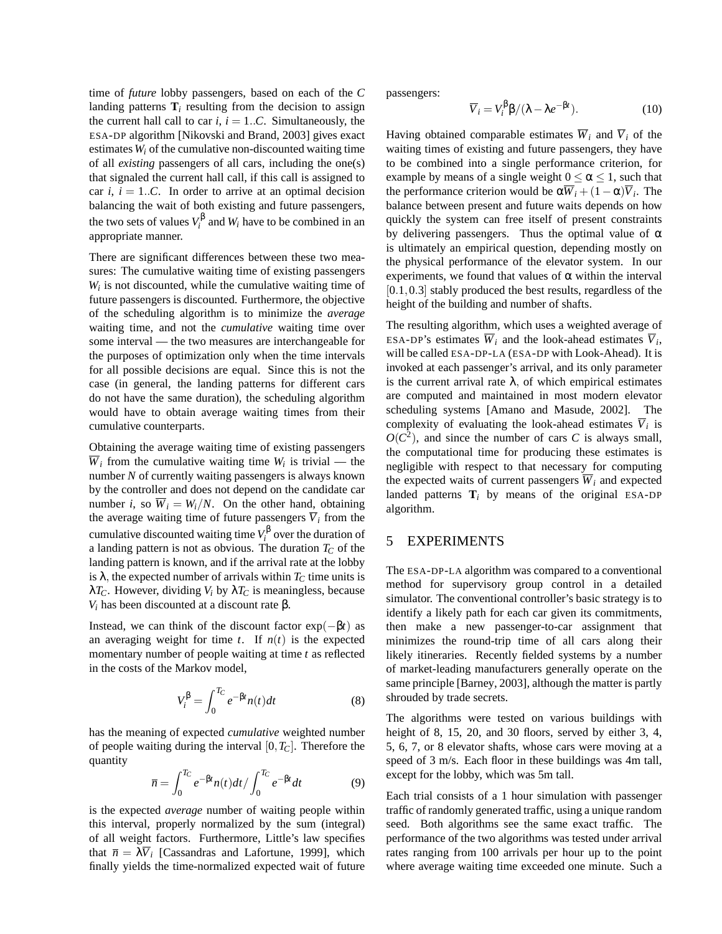time of *future* lobby passengers, based on each of the *C* landing patterns  $\mathbf{T}_i$  resulting from the decision to assign the current hall call to car  $i, i = 1..C$ . Simultaneously, the ESA-DP algorithm [\[Nikovski and Brand,](#page-9-0) [2003\]](#page-9-0) gives exact estimates *W<sup>i</sup>* of the cumulative non-discounted waiting time of all *existing* passengers of all cars, including the one(s) that signaled the current hall call, if this call is assigned to car  $i$ ,  $i = 1...C$ . In order to arrive at an optimal decision balancing the wait of both existing and future passengers, the two sets of values  $V_i^{\beta}$  $V_i^{\text{p}}$  and  $W_i$  have to be combined in an appropriate manner.

There are significant differences between these two measures: The cumulative waiting time of existing passengers  $W_i$  is not discounted, while the cumulative waiting time of future passengers is discounted. Furthermore, the objective of the scheduling algorithm is to minimize the *average* waiting time, and not the *cumulative* waiting time over some interval — the two measures are interchangeable for the purposes of optimization only when the time intervals for all possible decisions are equal. Since this is not the case (in general, the landing patterns for different cars do not have the same duration), the scheduling algorithm would have to obtain average waiting times from their cumulative counterparts.

Obtaining the average waiting time of existing passengers  $\overline{W}_i$  from the cumulative waiting time  $W_i$  is trivial — the number *N* of currently waiting passengers is always known by the controller and does not depend on the candidate car number *i*, so  $\overline{W}_i = W_i/N$ . On the other hand, obtaining the average waiting time of future passengers  $\overline{V}_i$  from the cumulative discounted waiting time *V* β  $i^p$  over the duration of a landing pattern is not as obvious. The duration *T<sup>C</sup>* of the landing pattern is known, and if the arrival rate at the lobby is  $\lambda$ , the expected number of arrivals within  $T_C$  time units is  $λT_C$ . However, dividing *V<sub>i</sub>* by  $λT_C$  is meaningless, because *V*<sup>*i*</sup> has been discounted at a discount rate β.

Instead, we can think of the discount factor  $exp(-\beta t)$  as an averaging weight for time  $t$ . If  $n(t)$  is the expected momentary number of people waiting at time *t* as reflected in the costs of the Markov model,

$$
V_i^{\beta} = \int_0^{T_C} e^{-\beta t} n(t) dt
$$
 (8)

has the meaning of expected *cumulative* weighted number of people waiting during the interval [0,*TC*]. Therefore the quantity

$$
\overline{n} = \int_0^{T_C} e^{-\beta t} n(t) dt / \int_0^{T_C} e^{-\beta t} dt \tag{9}
$$

is the expected *average* number of waiting people within this interval, properly normalized by the sum (integral) of all weight factors. Furthermore, Little's law specifies that  $\bar{n} = \lambda \bar{V}_i$  [\[Cassandras and Lafortune,](#page-9-0) [1999\]](#page-9-0), which finally yields the time-normalized expected wait of future

passengers:

$$
\overline{V}_i = V_i^{\beta} \beta / (\lambda - \lambda e^{-\beta t}). \tag{10}
$$

Having obtained comparable estimates  $\overline{W}_i$  and  $\overline{V}_i$  of the waiting times of existing and future passengers, they have to be combined into a single performance criterion, for example by means of a single weight  $0 \le \alpha \le 1$ , such that the performance criterion would be  $\alpha \overline{W}_i + (1 - \alpha) \overline{V}_i$ . The balance between present and future waits depends on how quickly the system can free itself of present constraints by delivering passengers. Thus the optimal value of  $\alpha$ is ultimately an empirical question, depending mostly on the physical performance of the elevator system. In our experiments, we found that values of  $\alpha$  within the interval [0.1,0.3] stably produced the best results, regardless of the height of the building and number of shafts.

The resulting algorithm, which uses a weighted average of ESA-DP's estimates  $\overline{W}_i$  and the look-ahead estimates  $\overline{V}_i$ , will be called ESA-DP-LA (ESA-DP with Look-Ahead). It is invoked at each passenger's arrival, and its only parameter is the current arrival rate  $\lambda$ , of which empirical estimates are computed and maintained in most modern elevator scheduling systems [\[Amano and Masude,](#page-9-0) [2002\]](#page-9-0). The complexity of evaluating the look-ahead estimates  $\overline{V}_i$  is  $O(C^2)$ , and since the number of cars *C* is always small, the computational time for producing these estimates is negligible with respect to that necessary for computing the expected waits of current passengers  $\overline{W}_i$  and expected landed patterns  $\mathbf{T}_i$  by means of the original ESA-DP algorithm.

#### 5 EXPERIMENTS

The ESA-DP-LA algorithm was compared to a conventional method for supervisory group control in a detailed simulator. The conventional controller's basic strategy is to identify a likely path for each car given its commitments, then make a new passenger-to-car assignment that minimizes the round-trip time of all cars along their likely itineraries. Recently fielded systems by a number of market-leading manufacturers generally operate on the same principle [\[Barney,](#page-9-0) [2003\]](#page-9-0), although the matter is partly shrouded by trade secrets.

The algorithms were tested on various buildings with height of 8, 15, 20, and 30 floors, served by either 3, 4, 5, 6, 7, or 8 elevator shafts, whose cars were moving at a speed of 3 m/s. Each floor in these buildings was 4m tall, except for the lobby, which was 5m tall.

Each trial consists of a 1 hour simulation with passenger traffic of randomly generated traffic, using a unique random seed. Both algorithms see the same exact traffic. The performance of the two algorithms was tested under arrival rates ranging from 100 arrivals per hour up to the point where average waiting time exceeded one minute. Such a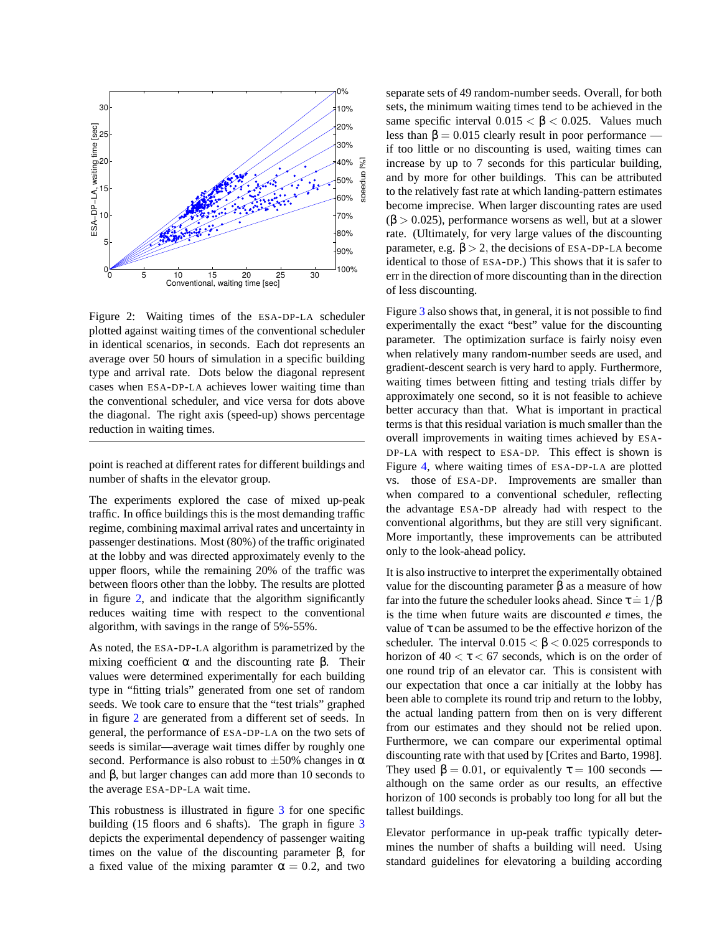

Figure 2: Waiting times of the ESA-DP-LA scheduler plotted against waiting times of the conventional scheduler in identical scenarios, in seconds. Each dot represents an average over 50 hours of simulation in a specific building type and arrival rate. Dots below the diagonal represent cases when ESA-DP-LA achieves lower waiting time than the conventional scheduler, and vice versa for dots above the diagonal. The right axis (speed-up) shows percentage reduction in waiting times.

point is reached at different rates for different buildings and number of shafts in the elevator group.

The experiments explored the case of mixed up-peak traffic. In office buildings this is the most demanding traffic regime, combining maximal arrival rates and uncertainty in passenger destinations. Most (80%) of the traffic originated at the lobby and was directed approximately evenly to the upper floors, while the remaining 20% of the traffic was between floors other than the lobby. The results are plotted in figure 2, and indicate that the algorithm significantly reduces waiting time with respect to the conventional algorithm, with savings in the range of 5%-55%.

As noted, the ESA-DP-LA algorithm is parametrized by the mixing coefficient  $\alpha$  and the discounting rate β. Their values were determined experimentally for each building type in "fitting trials" generated from one set of random seeds. We took care to ensure that the "test trials" graphed in figure 2 are generated from a different set of seeds. In general, the performance of ESA-DP-LA on the two sets of seeds is similar—average wait times differ by roughly one second. Performance is also robust to  $\pm 50\%$  changes in  $\alpha$ and β, but larger changes can add more than 10 seconds to the average ESA-DP-LA wait time.

This robustness is illustrated in figure [3](#page-9-0) for one specific building (15 floors and 6 shafts). The graph in figure [3](#page-9-0) depicts the experimental dependency of passenger waiting times on the value of the discounting parameter  $\beta$ , for a fixed value of the mixing paramter  $\alpha = 0.2$ , and two

separate sets of 49 random-number seeds. Overall, for both sets, the minimum waiting times tend to be achieved in the same specific interval  $0.015 < \beta < 0.025$ . Values much less than  $\beta = 0.015$  clearly result in poor performance if too little or no discounting is used, waiting times can increase by up to 7 seconds for this particular building, and by more for other buildings. This can be attributed to the relatively fast rate at which landing-pattern estimates become imprecise. When larger discounting rates are used  $(\beta > 0.025)$ , performance worsens as well, but at a slower rate. (Ultimately, for very large values of the discounting parameter, e.g.  $\beta > 2$ , the decisions of ESA-DP-LA become identical to those of ESA-DP.) This shows that it is safer to err in the direction of more discounting than in the direction of less discounting.

Figure [3](#page-9-0) also shows that, in general, it is not possible to find experimentally the exact "best" value for the discounting parameter. The optimization surface is fairly noisy even when relatively many random-number seeds are used, and gradient-descent search is very hard to apply. Furthermore, waiting times between fitting and testing trials differ by approximately one second, so it is not feasible to achieve better accuracy than that. What is important in practical terms is that this residual variation is much smaller than the overall improvements in waiting times achieved by ESA-DP-LA with respect to ESA-DP. This effect is shown is Figure [4,](#page-9-0) where waiting times of ESA-DP-LA are plotted vs. those of ESA-DP. Improvements are smaller than when compared to a conventional scheduler, reflecting the advantage ESA-DP already had with respect to the conventional algorithms, but they are still very significant. More importantly, these improvements can be attributed only to the look-ahead policy.

It is also instructive to interpret the experimentally obtained value for the discounting parameter β as a measure of how far into the future the scheduler looks ahead. Since  $\tau = 1/\beta$ is the time when future waits are discounted *e* times, the value of  $\tau$  can be assumed to be the effective horizon of the scheduler. The interval  $0.015 < \beta < 0.025$  corresponds to horizon of  $40 < \tau < 67$  seconds, which is on the order of one round trip of an elevator car. This is consistent with our expectation that once a car initially at the lobby has been able to complete its round trip and return to the lobby, the actual landing pattern from then on is very different from our estimates and they should not be relied upon. Furthermore, we can compare our experimental optimal discounting rate with that used by [\[Crites and Barto,](#page-9-0) [1998\]](#page-9-0). They used  $\beta = 0.01$ , or equivalently  $\tau = 100$  seconds although on the same order as our results, an effective horizon of 100 seconds is probably too long for all but the tallest buildings.

Elevator performance in up-peak traffic typically determines the number of shafts a building will need. Using standard guidelines for elevatoring a building according